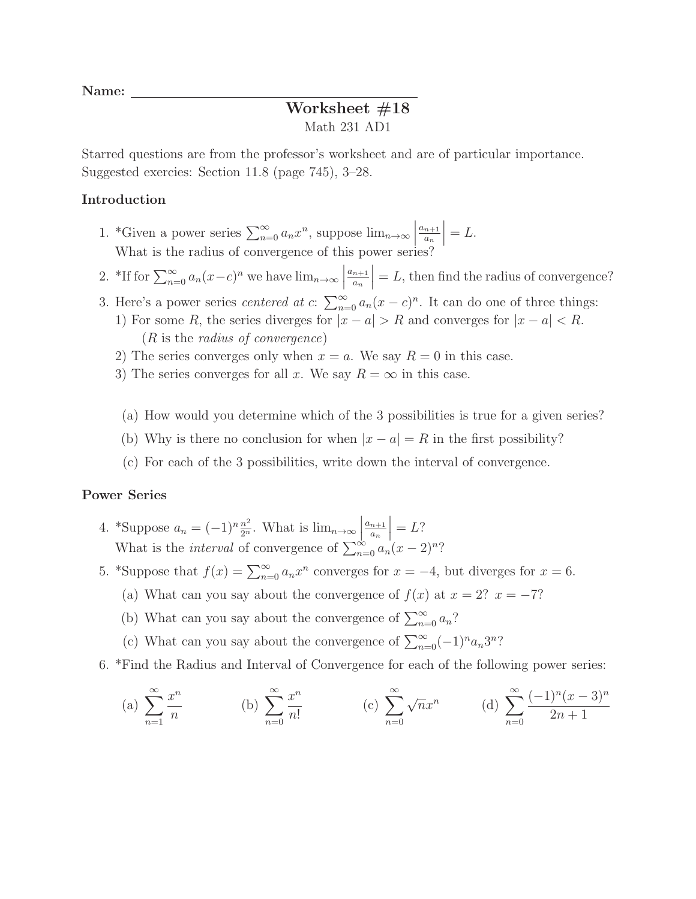Name:

## Worksheet #18 Math 231 AD1

Starred questions are from the professor's worksheet and are of particular importance. Suggested exercies: Section 11.8 (page 745), 3–28.

## Introduction

- 1. \*Given a power series  $\sum_{n=0}^{\infty} a_n x^n$ , suppose  $\lim_{n\to\infty} \left| \frac{a_{n+1}}{a_n} \right|$ What is the radius of convergence of this power series?  $\left. \frac{a_{n+1}}{a_n} \right| = L.$
- 2. \*If for  $\sum_{n=0}^{\infty} a_n(x-c)^n$  we have  $\lim_{n\to\infty}$  $a_{n+1}$  $\left| \frac{n+1}{a_n} \right| = L$ , then find the radius of convergence?
- 3. Here's a power series *centered at c*:  $\sum_{n=0}^{\infty} a_n(x-c)^n$ . It can do one of three things: 1) For some R, the series diverges for  $|x - a| > R$  and converges for  $|x - a| < R$ . (R is the radius of convergence)
	- 2) The series converges only when  $x = a$ . We say  $R = 0$  in this case.
	- 3) The series converges for all x. We say  $R = \infty$  in this case.
	- (a) How would you determine which of the 3 possibilities is true for a given series?
	- (b) Why is there no conclusion for when  $|x a| = R$  in the first possibility?
	- (c) For each of the 3 possibilities, write down the interval of convergence.

## Power Series

- 4. \*Suppose  $a_n = (-1)^n \frac{n^2}{2^n}$ . What is  $\lim_{n\to\infty}$  $a_{n+1}$  $\frac{n+1}{a_n}\Big|_C = L$ ? What is the *interval* of convergence of  $\sum_{n=0}^{\infty} a_n(x-2)^n$ ?
- 5. \*Suppose that  $f(x) = \sum_{n=0}^{\infty} a_n x^n$  converges for  $x = -4$ , but diverges for  $x = 6$ .
	- (a) What can you say about the convergence of  $f(x)$  at  $x = 2$ ?  $x = -7$ ?
	- (b) What can you say about the convergence of  $\sum_{n=0}^{\infty} a_n$ ?
	- (c) What can you say about the convergence of  $\sum_{n=0}^{\infty} (-1)^n a_n 3^n$ ?
- 6. \*Find the Radius and Interval of Convergence for each of the following power series:

(a) 
$$
\sum_{n=1}^{\infty} \frac{x^n}{n}
$$
 (b)  $\sum_{n=0}^{\infty} \frac{x^n}{n!}$  (c)  $\sum_{n=0}^{\infty} \sqrt{n} x^n$  (d)  $\sum_{n=0}^{\infty} \frac{(-1)^n (x-3)^n}{2n+1}$